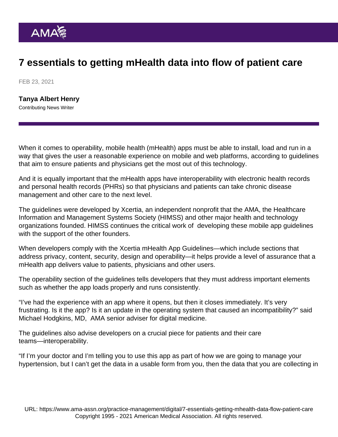## 7 essentials to getting mHealth data into flow of patient care

FEB 23, 2021

[Tanya Albert Henry](https://www.ama-assn.org/news-leadership-viewpoints/authors-news-leadership-viewpoints/tanya-albert-henry) Contributing News Writer

When it comes to operability, mobile health (mHealth) apps must be able to install, load and run in a way that gives the user a reasonable experience on mobile and web platforms, according to guidelines that aim to ensure patients and physicians get the most out of this technology.

And it is equally important that the mHealth apps have interoperability with electronic health records and personal health records (PHRs) so that physicians and patients can take chronic disease management and other care to the next level.

The guidelines were developed by Xcertia, an independent nonprofit that the AMA, the Healthcare Information and Management Systems Society (HIMSS) and other major health and technology organizations founded. HIMSS continues the critical work of developing these mobile app guidelines with the support of the other founders.

When developers comply with the [Xcertia mHealth App Guidelines—](https://www.himss.org/sites/hde/files/media/file/2020/04/17/xcertia-guidelines-2019-final.pdf)which include sections that address privacy, content, security, design and operability—it helps provide a level of assurance that a mHealth app delivers value to patients, physicians and other users.

The operability section of the guidelines tells developers that they must address important elements such as whether the app loads properly and runs consistently.

"I've had the experience with an app where it opens, but then it closes immediately. It's very frustrating. Is it the app? Is it an update in the operating system that caused an incompatibility?" said Michael Hodgkins, MD, AMA senior adviser for digital medicine.

The guidelines also advise developers on a crucial piece for patients and their care teams—interoperability.

"If I'm your doctor and I'm telling you to use this app as part of how we are going to manage your hypertension, but I can't get the data in a usable form from you, then the data that you are collecting in